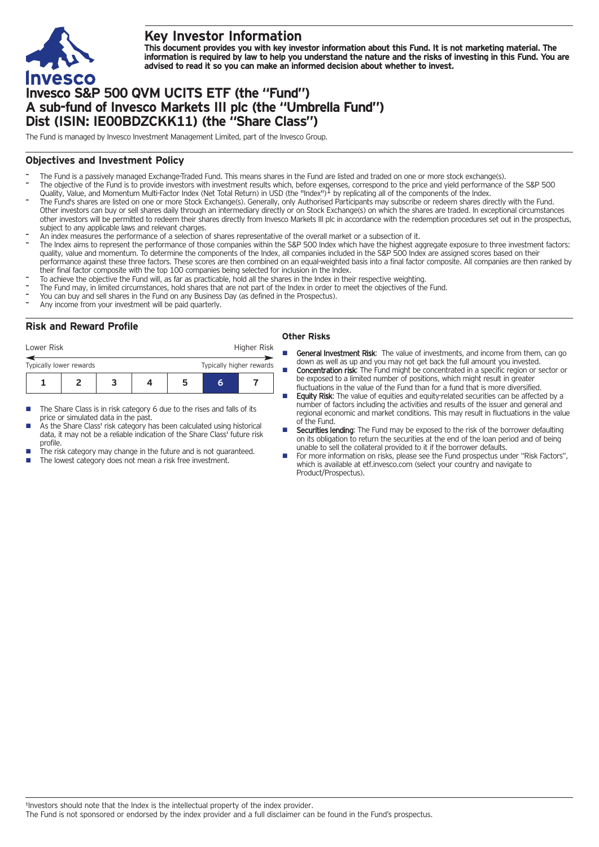

# **Key Investor Information**

This document provides you with key investor information about this Fund. It is not marketing material. The information is required by law to help you understand the nature and the risks of investing in this Fund. You are **advised to read it so you can make an informed decision about whether to invest.**

# **Invesco S&P 500 QVM UCITS ETF (the "Fund") A sub-fund of Invesco Markets III plc (the "Umbrella Fund") Dist (ISIN: IE00BDZCKK11) (the "Share Class")**

The Fund is managed by Invesco Investment Management Limited, part of the Invesco Group.

## **Objectives and Investment Policy**

- The Fund is a passively managed Exchange-Traded Fund. This means shares in the Fund are listed and traded on one or more stock exchange(s).
- The objective of the Fund is to provide investors with investment results which, before expenses, correspond to the price and yield performance of the S&P 500<br>Quality, Value, and Momentum Multi-Factor Index (Net Total Retu
- The Fund's shares are listed on one or more Stock Exchange(s). Generally, only Authorised Participants may subscribe or redeem shares directly with the Fund. Other investors can buy or sell shares daily through an intermediary directly or on Stock Exchange(s) on which the shares are traded. In exceptional circumstances other investors will be permitted to redeem their shares directly from Invesco Markets III plc in accordance with the redemption procedures set out in the prospectus, subject to any applicable laws and relevant charges.
- An index measures the performance of <sup>a</sup> selection of shares representative of the overall market or <sup>a</sup> subsection of it.
- The Index aims to represent the performance of those companies within the S&P 500 Index which have the highest aggregate exposure to three investment factors: quality, value and momentum. To determine the components of the Index, all companies included in the S&P 500 Index are assigned scores based on their performance against these three factors. These scores are then combined on an equal-weighted basis into a final factor composite. All companies are then ranked by their final factor composite with the top 100 companies being selected for inclusion in the Index.
- To achieve the objective the Fund will, as far as practicable, hold all the shares in the Index in their respective weighting.
- The Fund may, in limited circumstances, hold shares that are not part of the Index in order to meet the objectives of the Fund.
- You can buy and sell shares in the Fund on any Business Day (as defined in the Prospectus).
- Any income from your investment will be paid quarterly.

# **Risk and Reward Profile**

| Lower Risk              |  |  | Higher Risk |   |                          |  |  |
|-------------------------|--|--|-------------|---|--------------------------|--|--|
| Typically lower rewards |  |  |             |   | Typically higher rewards |  |  |
|                         |  |  |             | 5 |                          |  |  |

- The Share Class is in risk category 6 due to the rises and falls of its price or simulated data in the past.
- As the Share Class' risk category has been calculated using historical data, it may not be a reliable indication of the Share Class' future risk profile.
- The risk category may change in the future and is not guaranteed.
- The lowest category does not mean a risk free investment.

### **Other Risks**

- General Investment Risk: The value of investments, and income from them, can go down as well as up and you may not get back the full amount you invested. **Concentration risk:** The Fund might be concentrated in a specific region or sector or be exposed to a limited number of positions, which might result in greater
- fluctuations in the value of the Fund than for a fund that is more diversified. Equity Risk: The value of equities and equity-related securities can be affected by a
- number of factors including the activities and results of the issuer and general and regional economic and market conditions. This may result in fluctuations in the value of the Fund.
- **E** Securities lending: The Fund may be exposed to the risk of the borrower defaulting on its obligation to return the securities at the end of the loan period and of being unable to sell the collateral provided to it if the borrower defaults.
- For more information on risks, please see the Fund prospectus under "Risk Factors", which is available at etf.invesco.com (select your country and navigate to Product/Prospectus).